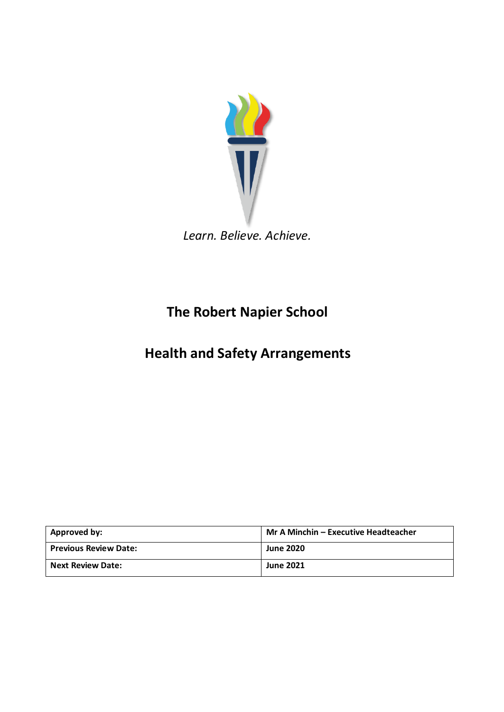

*Learn. Believe. Achieve.*

# **The Robert Napier School**

# **Health and Safety Arrangements**

| Approved by:                 | Mr A Minchin - Executive Headteacher |
|------------------------------|--------------------------------------|
| <b>Previous Review Date:</b> | <b>June 2020</b>                     |
| <b>Next Review Date:</b>     | <b>June 2021</b>                     |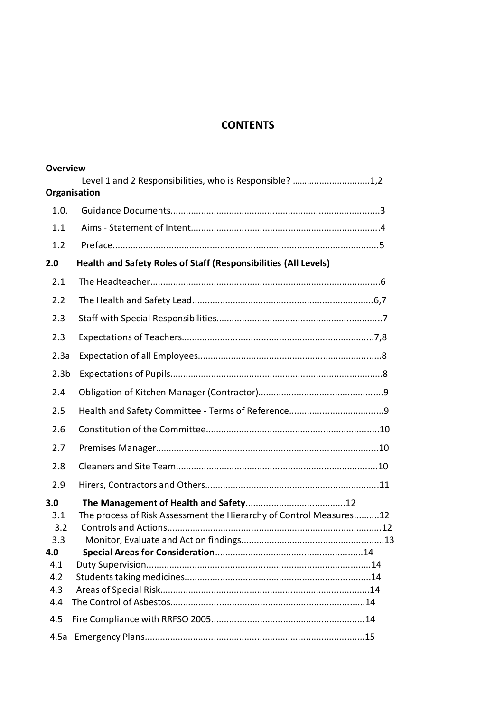## **CONTENTS**

| <b>Overview</b>                                             |                                                                         |
|-------------------------------------------------------------|-------------------------------------------------------------------------|
|                                                             | Level 1 and 2 Responsibilities, who is Responsible? 1,2<br>Organisation |
| 1.0.                                                        |                                                                         |
| 1.1                                                         |                                                                         |
| 1.2                                                         |                                                                         |
| 2.0                                                         | Health and Safety Roles of Staff (Responsibilities (All Levels)         |
| 2.1                                                         |                                                                         |
|                                                             |                                                                         |
| 2.2                                                         |                                                                         |
| 2.3                                                         |                                                                         |
| 2.3                                                         |                                                                         |
| 2.3a                                                        |                                                                         |
| 2.3 <sub>b</sub>                                            |                                                                         |
| 2.4                                                         |                                                                         |
| 2.5                                                         |                                                                         |
| 2.6                                                         |                                                                         |
| 2.7                                                         |                                                                         |
| 2.8                                                         |                                                                         |
| 2.9                                                         |                                                                         |
| 3.0<br>3.1<br>3.2<br>3.3<br>4.0<br>4.1<br>4.2<br>4.3<br>4.4 | The process of Risk Assessment the Hierarchy of Control Measures12      |
| 4.5                                                         |                                                                         |
| 4.5a                                                        |                                                                         |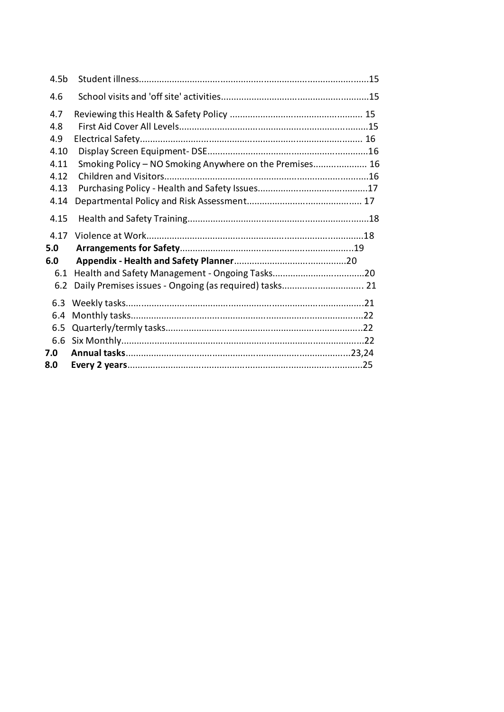| 4.5 <sub>b</sub> |                                                         |  |
|------------------|---------------------------------------------------------|--|
| 4.6              |                                                         |  |
| 4.7              |                                                         |  |
| 4.8              |                                                         |  |
| 4.9              |                                                         |  |
| 4.10             |                                                         |  |
| 4.11             | Smoking Policy - NO Smoking Anywhere on the Premises 16 |  |
| 4.12             |                                                         |  |
| 4.13             |                                                         |  |
| 4.14             |                                                         |  |
| 4.15             |                                                         |  |
| 4.17             |                                                         |  |
| 5.0              |                                                         |  |
| 6.0              |                                                         |  |
| 6.1              |                                                         |  |
| 6.2              |                                                         |  |
| 6.3              |                                                         |  |
| 6.4              |                                                         |  |
| 6.5              |                                                         |  |
|                  |                                                         |  |
| 7.0              |                                                         |  |
| 8.0              |                                                         |  |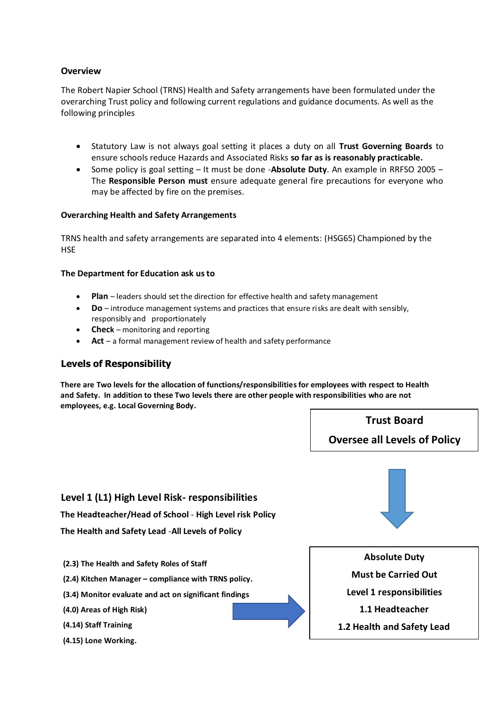#### **Overview**

The Robert Napier School (TRNS) Health and Safety arrangements have been formulated under the overarching Trust policy and following current regulations and guidance documents. As well as the following principles

- Statutory Law is not always goal setting it places a duty on all **Trust Governing Boards** to ensure schools reduce Hazards and Associated Risks **so far as is reasonably practicable.**
- Some policy is goal setting It must be done -**Absolute Duty**. An example in RRFSO 2005 The **Responsible Person must** ensure adequate general fire precautions for everyone who may be affected by fire on the premises.

#### **Overarching Health and Safety Arrangements**

TRNS health and safety arrangements are separated into 4 elements: (HSG65) Championed by the **HSE** 

#### **The Department for Education ask us to**

- **Plan** leaders should set the direction for effective health and safety management
- **Do** introduce management systems and practices that ensure risks are dealt with sensibly, responsibly and proportionately
- **Check** monitoring and reporting
- **Act** a formal management review of health and safety performance

#### **Levels of Responsibility**

**There are Two levels for the allocation of functions/responsibilities for employees with respect to Health and Safety. In addition to these Two levels there are other people with responsibilities who are not employees, e.g. Local Governing Body.** 

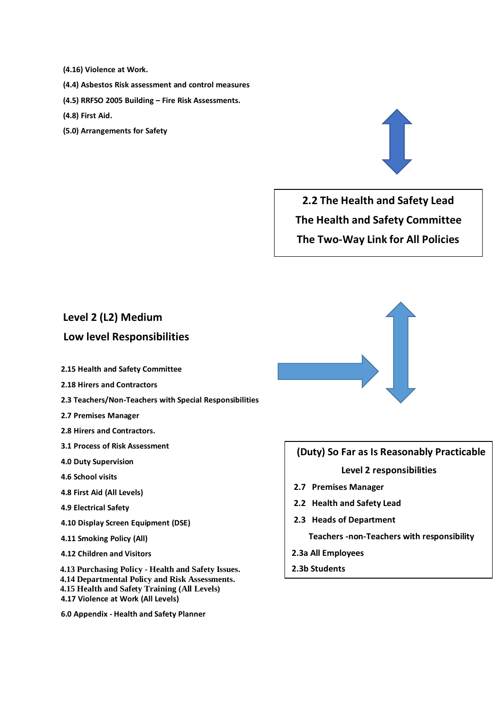- **(4.16) Violence at Work.**
- **(4.4) Asbestos Risk assessment and control measures**
- **(4.5) RRFSO 2005 Building – Fire Risk Assessments.**
- **(4.8) First Aid.**
- **(5.0) Arrangements for Safety**



**2.2 The Health and Safety Lead The Health and Safety Committee The Two-Way Link for All Policies**

## **Level 2 (L2) Medium**

## **Low level Responsibilities**

- **2.15 Health and Safety Committee**
- **2.18 Hirers and Contractors**
- **2.3 Teachers/Non-Teachers with Special Responsibilities**
- **2.7 Premises Manager**
- **2.8 Hirers and Contractors.**
- **3.1 Process of Risk Assessment**
- **4.0 Duty Supervision**
- **4.6 School visits**
- **4.8 First Aid (All Levels)**
- **4.9 Electrical Safety**
- **4.10 Display Screen Equipment (DSE)**
- **4.11 Smoking Policy (All)**
- **4.12 Children and Visitors**

**4.13 Purchasing Policy - Health and Safety Issues. 4.14 Departmental Policy and Risk Assessments. 4.15 Health and Safety Training (All Levels) 4.17 Violence at Work (All Levels)**

**6.0 Appendix - Health and Safety Planner** 



# **(Duty) So Far as Is Reasonably Practicable Level 2 responsibilities**

- **2.7 Premises Manager**
- **2.2 Health and Safety Lead**
- **2.3 Heads of Department**

 **Teachers -non-Teachers with responsibility**

- **2.3a All Employees**
- **2.3b Students**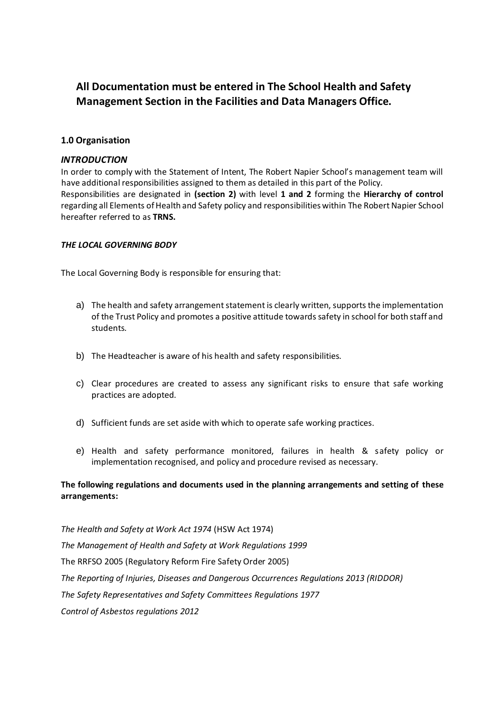## **All Documentation must be entered in The School Health and Safety Management Section in the Facilities and Data Managers Office.**

#### **1.0 Organisation**

#### *INTRODUCTION*

In order to comply with the Statement of Intent, The Robert Napier School's management team will have additional responsibilities assigned to them as detailed in this part of the Policy. Responsibilities are designated in **(section 2)** with level **1 and 2** forming the **Hierarchy of control** regarding all Elements of Health and Safety policy and responsibilities within The Robert Napier School hereafter referred to as **TRNS.**

#### *THE LOCAL GOVERNING BODY*

The Local Governing Body is responsible for ensuring that:

- a) The health and safety arrangement statement is clearly written, supports the implementation of the Trust Policy and promotes a positive attitude towards safety in school for both staff and students.
- b) The Headteacher is aware of his health and safety responsibilities.
- c) Clear procedures are created to assess any significant risks to ensure that safe working practices are adopted.
- d) Sufficient funds are set aside with which to operate safe working practices.
- e) Health and safety performance monitored, failures in health & safety policy or implementation recognised, and policy and procedure revised as necessary.

#### **The following regulations and documents used in the planning arrangements and setting of these arrangements:**

*The Health and Safety at Work Act 1974* (HSW Act 1974) *The Management of Health and Safety at Work Regulations 1999* The RRFSO 2005 (Regulatory Reform Fire Safety Order 2005) *The Reporting of Injuries, Diseases and Dangerous Occurrences Regulations 2013 (RIDDOR) The Safety Representatives and Safety Committees Regulations 1977 Control of Asbestos regulations 2012*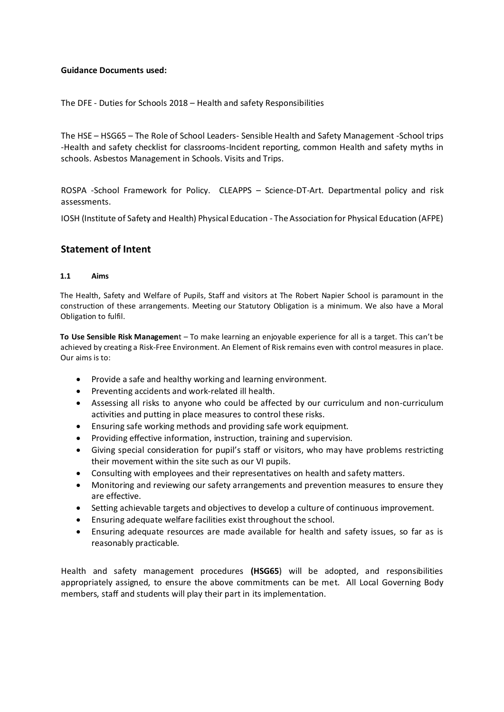#### **Guidance Documents used:**

The DFE - Duties for Schools 2018 – Health and safety Responsibilities

The HSE – HSG65 – The Role of School Leaders- Sensible Health and Safety Management -School trips -Health and safety checklist for classrooms-Incident reporting, common Health and safety myths in schools. Asbestos Management in Schools. Visits and Trips.

ROSPA -School Framework for Policy. CLEAPPS – Science-DT-Art. Departmental policy and risk assessments.

IOSH (Institute of Safety and Health) Physical Education - The Association for Physical Education (AFPE)

### **Statement of Intent**

#### **1.1 Aims**

The Health, Safety and Welfare of Pupils, Staff and visitors at The Robert Napier School is paramount in the construction of these arrangements. Meeting our Statutory Obligation is a minimum. We also have a Moral Obligation to fulfil.

**To Use Sensible Risk Managemen**t – To make learning an enjoyable experience for all is a target. This can't be achieved by creating a Risk-Free Environment. An Element of Risk remains even with control measures in place. Our aims is to:

- Provide a safe and healthy working and learning environment.
- Preventing accidents and work-related ill health.
- Assessing all risks to anyone who could be affected by our curriculum and non-curriculum activities and putting in place measures to control these risks.
- Ensuring safe working methods and providing safe work equipment.
- Providing effective information, instruction, training and supervision.
- Giving special consideration for pupil's staff or visitors, who may have problems restricting their movement within the site such as our VI pupils.
- Consulting with employees and their representatives on health and safety matters.
- Monitoring and reviewing our safety arrangements and prevention measures to ensure they are effective.
- Setting achievable targets and objectives to develop a culture of continuous improvement.
- Ensuring adequate welfare facilities exist throughout the school.
- Ensuring adequate resources are made available for health and safety issues, so far as is reasonably practicable.

Health and safety management procedures **(HSG65**) will be adopted, and responsibilities appropriately assigned, to ensure the above commitments can be met. All Local Governing Body members, staff and students will play their part in its implementation.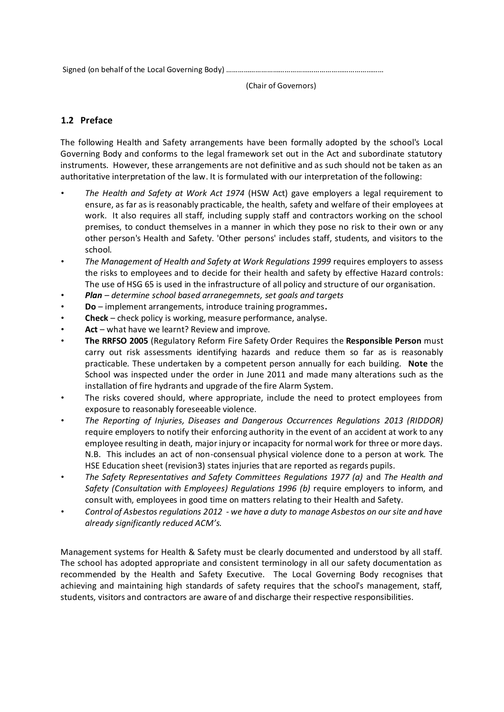Signed (on behalf of the Local Governing Body) ………………………………………………………………………

(Chair of Governors)

## **1.2 Preface**

The following Health and Safety arrangements have been formally adopted by the school's Local Governing Body and conforms to the legal framework set out in the Act and subordinate statutory instruments. However, these arrangements are not definitive and as such should not be taken as an authoritative interpretation of the law. It is formulated with our interpretation of the following:

- *The Health and Safety at Work Act 1974* (HSW Act) gave employers a legal requirement to ensure, as far as is reasonably practicable, the health, safety and welfare of their employees at work. It also requires all staff, including supply staff and contractors working on the school premises, to conduct themselves in a manner in which they pose no risk to their own or any other person's Health and Safety. 'Other persons' includes staff, students, and visitors to the school.
- *The Management of Health and Safety at Work Regulations 1999* requires employers to assess the risks to employees and to decide for their health and safety by effective Hazard controls: The use of HSG 65 is used in the infrastructure of all policy and structure of our organisation.
- *Plan – determine school based arranegemnets, set goals and targets*
- **Do** implement arrangements, introduce training programmes**.**
- **Check** check policy is working, measure performance, analyse.
- Act what have we learnt? Review and improve.
- **The RRFSO 2005** (Regulatory Reform Fire Safety Order Requires the **Responsible Person** must carry out risk assessments identifying hazards and reduce them so far as is reasonably practicable. These undertaken by a competent person annually for each building. **Note** the School was inspected under the order in June 2011 and made many alterations such as the installation of fire hydrants and upgrade of the fire Alarm System.
- The risks covered should, where appropriate, include the need to protect employees from exposure to reasonably foreseeable violence.
- *The Reporting of Injuries, Diseases and Dangerous Occurrences Regulations 2013 (RIDDOR)*  require employers to notify their enforcing authority in the event of an accident at work to any employee resulting in death, major injury or incapacity for normal work for three or more days. N.B. This includes an act of non-consensual physical violence done to a person at work. The HSE Education sheet (revision3) states injuries that are reported as regards pupils.
- *The Safety Representatives and Safety Committees Regulations 1977 (a)* and *The Health and Safety (Consultation with Employees) Regulations 1996 (b)* require employers to inform, and consult with, employees in good time on matters relating to their Health and Safety.
- *Control of Asbestos regulations 2012 - we have a duty to manage Asbestos on our site and have already significantly reduced ACM's.*

Management systems for Health & Safety must be clearly documented and understood by all staff. The school has adopted appropriate and consistent terminology in all our safety documentation as recommended by the Health and Safety Executive. The Local Governing Body recognises that achieving and maintaining high standards of safety requires that the school's management, staff, students, visitors and contractors are aware of and discharge their respective responsibilities.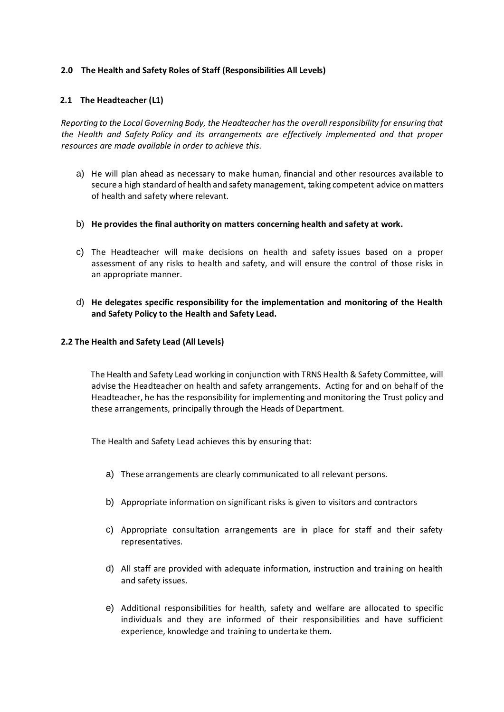#### **2.0 The Health and Safety Roles of Staff (Responsibilities All Levels)**

#### **2.1 The Headteacher (L1)**

*Reporting to the Local Governing Body, the Headteacher has the overall responsibility for ensuring that the Health and Safety Policy and its arrangements are effectively implemented and that proper resources are made available in order to achieve this.* 

- a) He will plan ahead as necessary to make human, financial and other resources available to secure a high standard of health and safety management, taking competent advice on matters of health and safety where relevant.
- b) **He provides the final authority on matters concerning health and safety at work.**
- c) The Headteacher will make decisions on health and safety issues based on a proper assessment of any risks to health and safety, and will ensure the control of those risks in an appropriate manner.
- d) **He delegates specific responsibility for the implementation and monitoring of the Health and Safety Policy to the Health and Safety Lead.**

#### **2.2 The Health and Safety Lead (All Levels)**

 The Health and Safety Lead working in conjunction with TRNS Health & Safety Committee, will advise the Headteacher on health and safety arrangements. Acting for and on behalf of the Headteacher, he has the responsibility for implementing and monitoring the Trust policy and these arrangements, principally through the Heads of Department.

The Health and Safety Lead achieves this by ensuring that:

- a) These arrangements are clearly communicated to all relevant persons.
- b) Appropriate information on significant risks is given to visitors and contractors
- c) Appropriate consultation arrangements are in place for staff and their safety representatives.
- d) All staff are provided with adequate information, instruction and training on health and safety issues.
- e) Additional responsibilities for health, safety and welfare are allocated to specific individuals and they are informed of their responsibilities and have sufficient experience, knowledge and training to undertake them.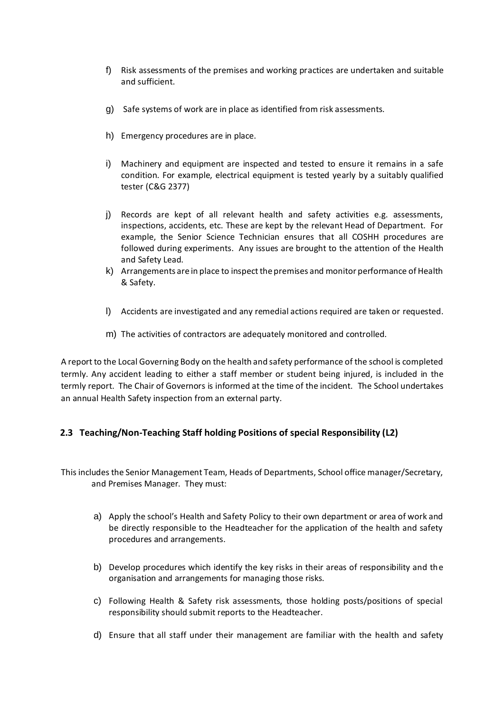- f) Risk assessments of the premises and working practices are undertaken and suitable and sufficient.
- g) Safe systems of work are in place as identified from risk assessments.
- h) Emergency procedures are in place.
- i) Machinery and equipment are inspected and tested to ensure it remains in a safe condition. For example, electrical equipment is tested yearly by a suitably qualified tester (C&G 2377)
- j) Records are kept of all relevant health and safety activities e.g. assessments, inspections, accidents, etc. These are kept by the relevant Head of Department. For example, the Senior Science Technician ensures that all COSHH procedures are followed during experiments. Any issues are brought to the attention of the Health and Safety Lead.
- k) Arrangements are in place to inspect the premises and monitor performance of Health & Safety.
- l) Accidents are investigated and any remedial actions required are taken or requested.
- m) The activities of contractors are adequately monitored and controlled.

A report to the Local Governing Body on the health and safety performance of the school is completed termly. Any accident leading to either a staff member or student being injured, is included in the termly report. The Chair of Governors is informed at the time of the incident. The School undertakes an annual Health Safety inspection from an external party.

## **2.3 Teaching/Non-Teaching Staff holding Positions of special Responsibility (L2)**

This includes the Senior Management Team, Heads of Departments, School office manager/Secretary, and Premises Manager. They must:

- a) Apply the school's Health and Safety Policy to their own department or area of work and be directly responsible to the Headteacher for the application of the health and safety procedures and arrangements.
- b) Develop procedures which identify the key risks in their areas of responsibility and the organisation and arrangements for managing those risks.
- c) Following Health & Safety risk assessments, those holding posts/positions of special responsibility should submit reports to the Headteacher.
- d) Ensure that all staff under their management are familiar with the health and safety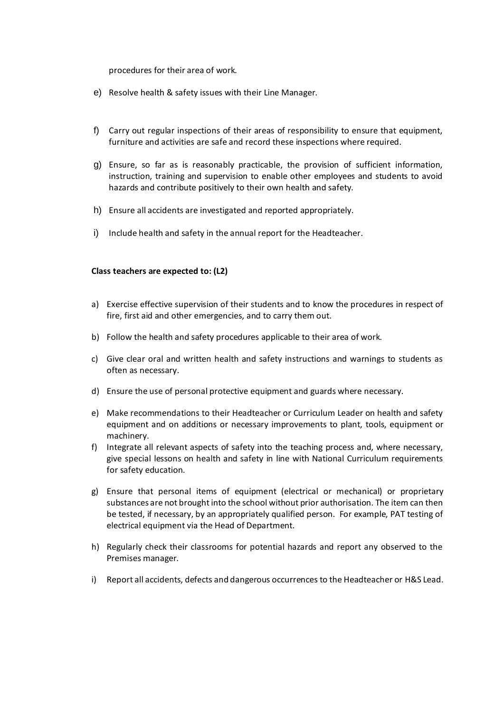procedures for their area of work.

- e) Resolve health & safety issues with their Line Manager.
- f) Carry out regular inspections of their areas of responsibility to ensure that equipment, furniture and activities are safe and record these inspections where required.
- g) Ensure, so far as is reasonably practicable, the provision of sufficient information, instruction, training and supervision to enable other employees and students to avoid hazards and contribute positively to their own health and safety.
- h) Ensure all accidents are investigated and reported appropriately.
- i) Include health and safety in the annual report for the Headteacher.

#### **Class teachers are expected to: (L2)**

- a) Exercise effective supervision of their students and to know the procedures in respect of fire, first aid and other emergencies, and to carry them out.
- b) Follow the health and safety procedures applicable to their area of work.
- c) Give clear oral and written health and safety instructions and warnings to students as often as necessary.
- d) Ensure the use of personal protective equipment and guards where necessary.
- e) Make recommendations to their Headteacher or Curriculum Leader on health and safety equipment and on additions or necessary improvements to plant, tools, equipment or machinery.
- f) Integrate all relevant aspects of safety into the teaching process and, where necessary, give special lessons on health and safety in line with National Curriculum requirements for safety education.
- g) Ensure that personal items of equipment (electrical or mechanical) or proprietary substances are not brought into the school without prior authorisation. The item can then be tested, if necessary, by an appropriately qualified person. For example, PAT testing of electrical equipment via the Head of Department.
- h) Regularly check their classrooms for potential hazards and report any observed to the Premises manager.
- i) Report all accidents, defects and dangerous occurrences to the Headteacher or H&S Lead.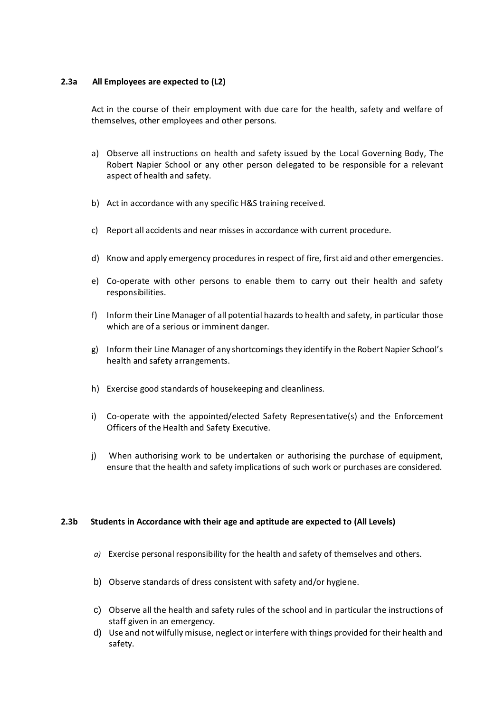#### **2.3a All Employees are expected to (L2)**

Act in the course of their employment with due care for the health, safety and welfare of themselves, other employees and other persons.

- a) Observe all instructions on health and safety issued by the Local Governing Body, The Robert Napier School or any other person delegated to be responsible for a relevant aspect of health and safety.
- b) Act in accordance with any specific H&S training received.
- c) Report all accidents and near misses in accordance with current procedure.
- d) Know and apply emergency procedures in respect of fire, first aid and other emergencies.
- e) Co-operate with other persons to enable them to carry out their health and safety responsibilities.
- f) Inform their Line Manager of all potential hazards to health and safety, in particular those which are of a serious or imminent danger.
- g) Inform their Line Manager of any shortcomings they identify in the Robert Napier School's health and safety arrangements.
- h) Exercise good standards of housekeeping and cleanliness.
- i) Co-operate with the appointed/elected Safety Representative(s) and the Enforcement Officers of the Health and Safety Executive.
- j) When authorising work to be undertaken or authorising the purchase of equipment, ensure that the health and safety implications of such work or purchases are considered.

#### **2.3b Students in Accordance with their age and aptitude are expected to (All Levels)**

- *a)* Exercise personal responsibility for the health and safety of themselves and others.
- b) Observe standards of dress consistent with safety and/or hygiene.
- c) Observe all the health and safety rules of the school and in particular the instructions of staff given in an emergency.
- d) Use and not wilfully misuse, neglect or interfere with things provided for their health and safety.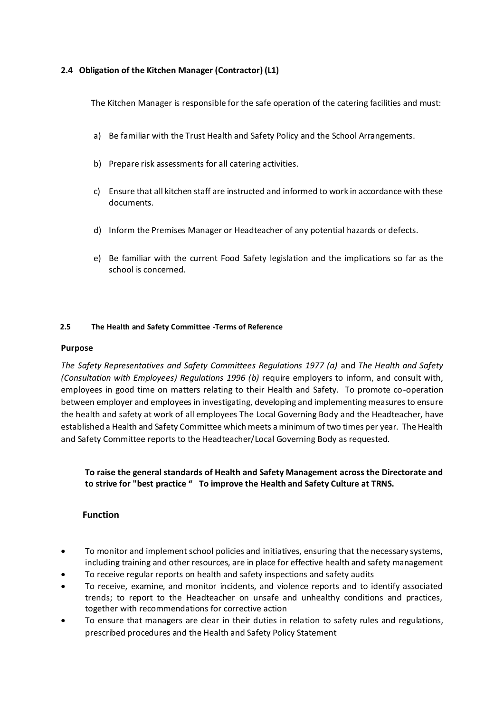#### **2.4 Obligation of the Kitchen Manager (Contractor) (L1)**

The Kitchen Manager is responsible for the safe operation of the catering facilities and must:

- a) Be familiar with the Trust Health and Safety Policy and the School Arrangements.
- b) Prepare risk assessments for all catering activities.
- c) Ensure that all kitchen staff are instructed and informed to work in accordance with these documents.
- d) Inform the Premises Manager or Headteacher of any potential hazards or defects.
- e) Be familiar with the current Food Safety legislation and the implications so far as the school is concerned.

#### **2.5 The Health and Safety Committee -Terms of Reference**

#### **Purpose**

*The Safety Representatives and Safety Committees Regulations 1977 (a)* and *The Health and Safety (Consultation with Employees) Regulations 1996 (b)* require employers to inform, and consult with, employees in good time on matters relating to their Health and Safety. To promote co-operation between employer and employees in investigating, developing and implementing measures to ensure the health and safety at work of all employees The Local Governing Body and the Headteacher, have established a Health and Safety Committee which meets a minimum of two times per year. The Health and Safety Committee reports to the Headteacher/Local Governing Body as requested.

**To raise the general standards of Health and Safety Management across the Directorate and to strive for "best practice " To improve the Health and Safety Culture at TRNS.** 

#### **Function**

- To monitor and implement school policies and initiatives, ensuring that the necessary systems, including training and other resources, are in place for effective health and safety management
- To receive regular reports on health and safety inspections and safety audits
- To receive, examine, and monitor incidents, and violence reports and to identify associated trends; to report to the Headteacher on unsafe and unhealthy conditions and practices, together with recommendations for corrective action
- To ensure that managers are clear in their duties in relation to safety rules and regulations, prescribed procedures and the Health and Safety Policy Statement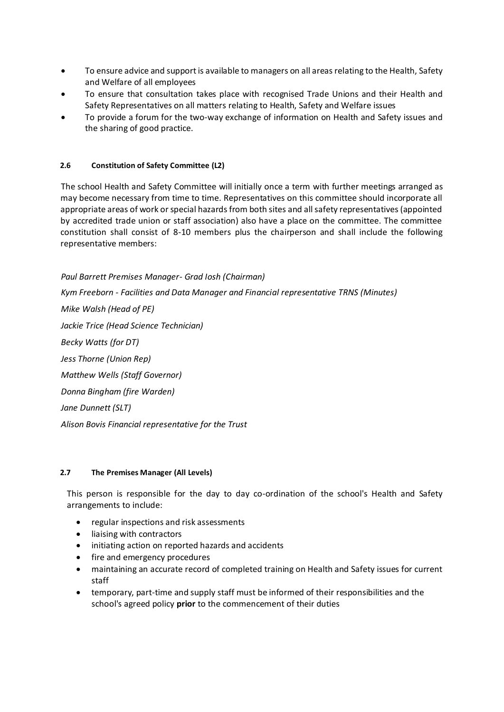- To ensure advice and support is available to managers on all areas relating to the Health, Safety and Welfare of all employees
- To ensure that consultation takes place with recognised Trade Unions and their Health and Safety Representatives on all matters relating to Health, Safety and Welfare issues
- To provide a forum for the two-way exchange of information on Health and Safety issues and the sharing of good practice.

#### **2.6 Constitution of Safety Committee (L2)**

The school Health and Safety Committee will initially once a term with further meetings arranged as may become necessary from time to time. Representatives on this committee should incorporate all appropriate areas of work or special hazards from both sites and all safety representatives (appointed by accredited trade union or staff association) also have a place on the committee. The committee constitution shall consist of 8-10 members plus the chairperson and shall include the following representative members:

*Paul Barrett Premises Manager- Grad Iosh (Chairman) Kym Freeborn - Facilities and Data Manager and Financial representative TRNS (Minutes) Mike Walsh (Head of PE) Jackie Trice (Head Science Technician) Becky Watts (for DT) Jess Thorne (Union Rep) Matthew Wells (Staff Governor) Donna Bingham (fire Warden) Jane Dunnett (SLT) Alison Bovis Financial representative for the Trust*

#### **2.7 The Premises Manager (All Levels)**

This person is responsible for the day to day co-ordination of the school's Health and Safety arrangements to include:

- regular inspections and risk assessments
- liaising with contractors
- initiating action on reported hazards and accidents
- fire and emergency procedures
- maintaining an accurate record of completed training on Health and Safety issues for current staff
- temporary, part-time and supply staff must be informed of their responsibilities and the school's agreed policy **prior** to the commencement of their duties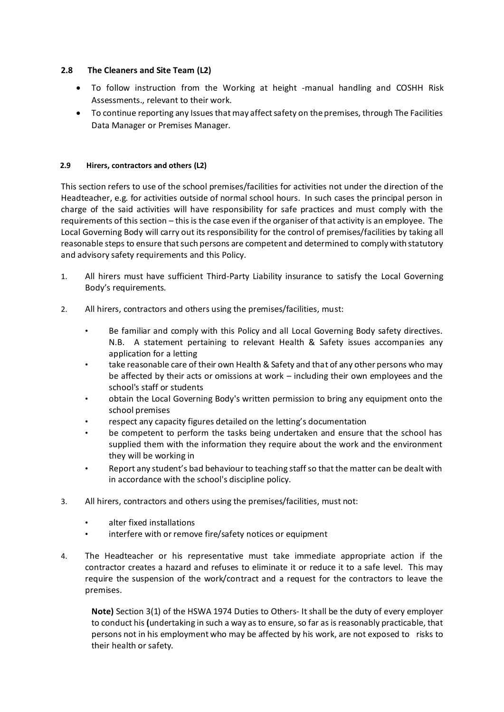#### **2.8 The Cleaners and Site Team (L2)**

- To follow instruction from the Working at height -manual handling and COSHH Risk Assessments., relevant to their work.
- To continue reporting any Issues that may affect safety on the premises, through The Facilities Data Manager or Premises Manager.

#### **2.9 Hirers, contractors and others (L2)**

This section refers to use of the school premises/facilities for activities not under the direction of the Headteacher, e.g. for activities outside of normal school hours. In such cases the principal person in charge of the said activities will have responsibility for safe practices and must comply with the requirements of this section – this is the case even if the organiser of that activity is an employee. The Local Governing Body will carry out its responsibility for the control of premises/facilities by taking all reasonable steps to ensure that such persons are competent and determined to comply with statutory and advisory safety requirements and this Policy.

- 1. All hirers must have sufficient Third-Party Liability insurance to satisfy the Local Governing Body's requirements.
- 2. All hirers, contractors and others using the premises/facilities, must:
	- Be familiar and comply with this Policy and all Local Governing Body safety directives. N.B. A statement pertaining to relevant Health & Safety issues accompanies any application for a letting
	- take reasonable care of their own Health & Safety and that of any other persons who may be affected by their acts or omissions at work – including their own employees and the school's staff or students
	- obtain the Local Governing Body's written permission to bring any equipment onto the school premises
	- respect any capacity figures detailed on the letting's documentation
	- be competent to perform the tasks being undertaken and ensure that the school has supplied them with the information they require about the work and the environment they will be working in
	- Report any student's bad behaviour to teaching staff so that the matter can be dealt with in accordance with the school's discipline policy.
- 3. All hirers, contractors and others using the premises/facilities, must not:
	- alter fixed installations
	- interfere with or remove fire/safety notices or equipment
- 4. The Headteacher or his representative must take immediate appropriate action if the contractor creates a hazard and refuses to eliminate it or reduce it to a safe level. This may require the suspension of the work/contract and a request for the contractors to leave the premises.

**Note)** Section 3(1) of the HSWA 1974 Duties to Others- It shall be the duty of every employer to conduct his **(**undertaking in such a way as to ensure, so far as is reasonably practicable, that persons not in his employment who may be affected by his work, are not exposed to risks to their health or safety.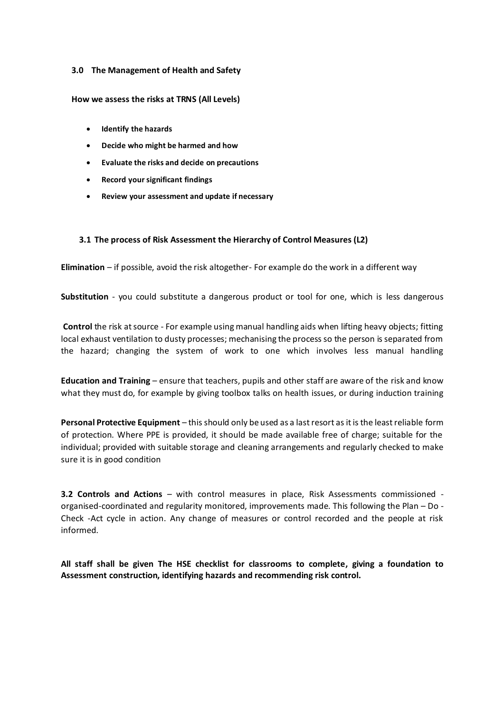#### **3.0 The Management of Health and Safety**

#### **How we assess the risks at TRNS (All Levels)**

- **[Identify the hazards](http://www.hse.gov.uk/risk/identify-the-hazards.htm)**
- **[Decide who might be harmed and how](http://www.hse.gov.uk/risk/decide-who-might-be-harmed.htm)**
- **[Evaluate the risks and decide](http://www.hse.gov.uk/risk/evaluate-the-risks.htm) on precautions**
- **[Record your significant findings](http://www.hse.gov.uk/risk/record-your-findings-and-implement-them.htm)**
- **[Review your assessment and update if necessary](http://www.hse.gov.uk/risk/review-your-assessment.htm)**

#### **3.1 The process of Risk Assessment the Hierarchy of Control Measures (L2)**

**Elimination** – if possible, avoid the risk altogether- For example do the work in a different way

**Substitution** - you could substitute a dangerous product or tool for one, which is less dangerous

**Control** the risk at source - For example using manual handling aids when lifting heavy objects; fitting local exhaust ventilation to dusty processes; mechanising the process so the person is separated from the hazard; changing the system of work to one which involves less manual handling

**Education and Training** – ensure that teachers, pupils and other staff are aware of the risk and know what they must do, for example by giving toolbox talks on health issues, or during induction training

**Personal Protective Equipment** – this should only be used as a last resort as it is the least reliable form of protection. Where PPE is provided, it should be made available free of charge; suitable for the individual; provided with suitable storage and cleaning arrangements and regularly checked to make sure it is in good condition

**3.2 Controls and Actions** – with control measures in place, Risk Assessments commissioned organised-coordinated and regularity monitored, improvements made. This following the Plan – Do - Check -Act cycle in action. Any change of measures or control recorded and the people at risk informed.

**All staff shall be given The HSE checklist for classrooms to complete, giving a foundation to Assessment construction, identifying hazards and recommending risk control.**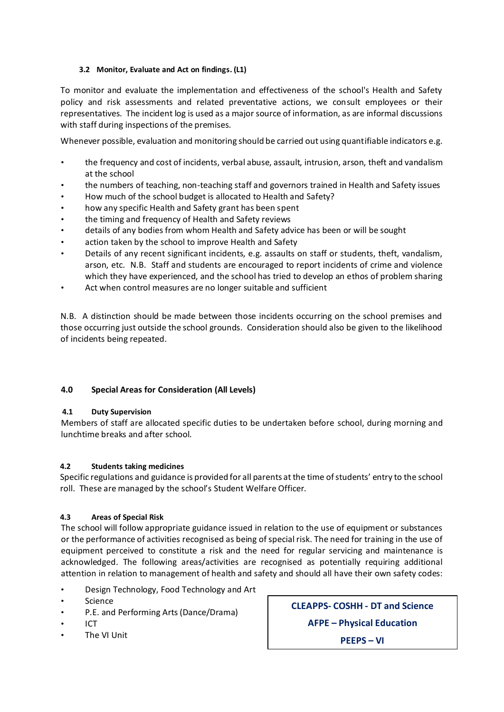#### **3.2 Monitor, Evaluate and Act on findings. (L1)**

To monitor and evaluate the implementation and effectiveness of the school's Health and Safety policy and risk assessments and related preventative actions, we consult employees or their representatives. The incident log is used as a major source of information, as are informal discussions with staff during inspections of the premises.

Whenever possible, evaluation and monitoring should be carried out using quantifiable indicators e.g.

- the frequency and cost of incidents, verbal abuse, assault, intrusion, arson, theft and vandalism at the school
- the numbers of teaching, non-teaching staff and governors trained in Health and Safety issues
- How much of the school budget is allocated to Health and Safety?
- how any specific Health and Safety grant has been spent
- the timing and frequency of Health and Safety reviews
- details of any bodies from whom Health and Safety advice has been or will be sought
- action taken by the school to improve Health and Safety
- Details of any recent significant incidents, e.g. assaults on staff or students, theft, vandalism, arson, etc. N.B. Staff and students are encouraged to report incidents of crime and violence which they have experienced, and the school has tried to develop an ethos of problem sharing
- Act when control measures are no longer suitable and sufficient

N.B. A distinction should be made between those incidents occurring on the school premises and those occurring just outside the school grounds. Consideration should also be given to the likelihood of incidents being repeated.

#### **4.0 Special Areas for Consideration (All Levels)**

#### **4.1 Duty Supervision**

Members of staff are allocated specific duties to be undertaken before school, during morning and lunchtime breaks and after school.

#### **4.2 Students taking medicines**

Specific regulations and guidance is provided for all parents at the time of students' entry to the school roll. These are managed by the school's Student Welfare Officer.

#### **4.3 Areas of Special Risk**

The school will follow appropriate guidance issued in relation to the use of equipment or substances or the performance of activities recognised as being of special risk. The need for training in the use of equipment perceived to constitute a risk and the need for regular servicing and maintenance is acknowledged. The following areas/activities are recognised as potentially requiring additional attention in relation to management of health and safety and should all have their own safety codes:

- Design Technology, Food Technology and Art
- **Science**
- P.E. and Performing Arts (Dance/Drama)
- ICT
- The VI Unit

**CLEAPPS- COSHH - DT and Science**

**AFPE – Physical Education**

**PEEPS – VI**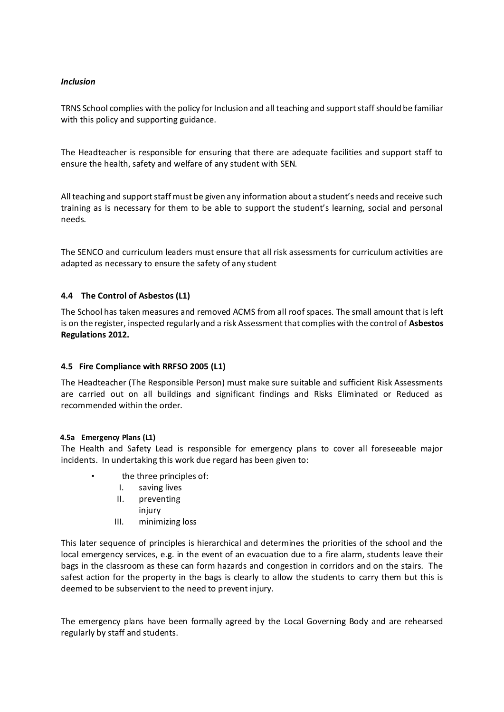#### *Inclusion*

TRNS School complies with the policy for Inclusion and all teaching and support staff should be familiar with this policy and supporting guidance.

The Headteacher is responsible for ensuring that there are adequate facilities and support staff to ensure the health, safety and welfare of any student with SEN.

All teaching and support staff must be given any information about a student's needs and receive such training as is necessary for them to be able to support the student's learning, social and personal needs.

The SENCO and curriculum leaders must ensure that all risk assessments for curriculum activities are adapted as necessary to ensure the safety of any student

#### **4.4 The Control of Asbestos (L1)**

The School has taken measures and removed ACMS from all roof spaces. The small amount that is left is on the register, inspected regularly and a risk Assessment that complies with the control of **Asbestos Regulations 2012.**

#### **4.5 Fire Compliance with RRFSO 2005 (L1)**

The Headteacher (The Responsible Person) must make sure suitable and sufficient Risk Assessments are carried out on all buildings and significant findings and Risks Eliminated or Reduced as recommended within the order.

#### **4.5a Emergency Plans (L1)**

The Health and Safety Lead is responsible for emergency plans to cover all foreseeable major incidents. In undertaking this work due regard has been given to:

- the three principles of:
	- I. saving lives
	- II. preventing
		- injury
	- III. minimizing loss

This later sequence of principles is hierarchical and determines the priorities of the school and the local emergency services, e.g. in the event of an evacuation due to a fire alarm, students leave their bags in the classroom as these can form hazards and congestion in corridors and on the stairs. The safest action for the property in the bags is clearly to allow the students to carry them but this is deemed to be subservient to the need to prevent injury.

The emergency plans have been formally agreed by the Local Governing Body and are rehearsed regularly by staff and students.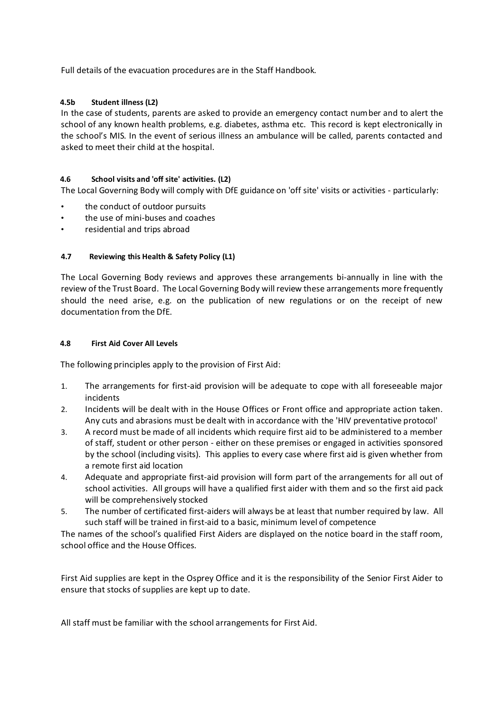Full details of the evacuation procedures are in the Staff Handbook.

#### **4.5b Student illness (L2)**

In the case of students, parents are asked to provide an emergency contact number and to alert the school of any known health problems, e.g. diabetes, asthma etc. This record is kept electronically in the school's MIS. In the event of serious illness an ambulance will be called, parents contacted and asked to meet their child at the hospital.

#### **4.6 School visits and 'off site' activities. (L2)**

The Local Governing Body will comply with DfE guidance on 'off site' visits or activities - particularly:

- the conduct of outdoor pursuits
- the use of mini-buses and coaches
- residential and trips abroad

#### **4.7 Reviewing this Health & Safety Policy (L1)**

The Local Governing Body reviews and approves these arrangements bi-annually in line with the review of the Trust Board. The Local Governing Body will review these arrangements more frequently should the need arise, e.g. on the publication of new regulations or on the receipt of new documentation from the DfE.

#### **4.8 First Aid Cover All Levels**

The following principles apply to the provision of First Aid:

- 1. The arrangements for first-aid provision will be adequate to cope with all foreseeable major incidents
- 2. Incidents will be dealt with in the House Offices or Front office and appropriate action taken. Any cuts and abrasions must be dealt with in accordance with the 'HIV preventative protocol'
- 3. A record must be made of all incidents which require first aid to be administered to a member of staff, student or other person - either on these premises or engaged in activities sponsored by the school (including visits). This applies to every case where first aid is given whether from a remote first aid location
- 4. Adequate and appropriate first-aid provision will form part of the arrangements for all out of school activities. All groups will have a qualified first aider with them and so the first aid pack will be comprehensively stocked
- 5. The number of certificated first-aiders will always be at least that number required by law. All such staff will be trained in first-aid to a basic, minimum level of competence

The names of the school's qualified First Aiders are displayed on the notice board in the staff room, school office and the House Offices.

First Aid supplies are kept in the Osprey Office and it is the responsibility of the Senior First Aider to ensure that stocks of supplies are kept up to date.

All staff must be familiar with the school arrangements for First Aid.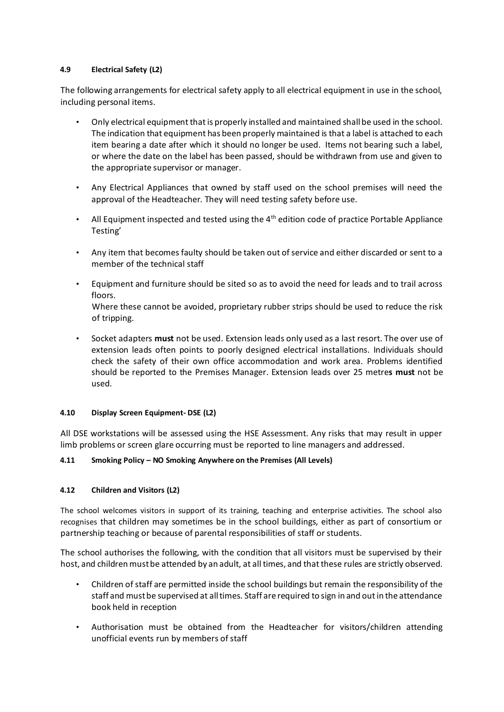#### **4.9 Electrical Safety (L2)**

The following arrangements for electrical safety apply to all electrical equipment in use in the school, including personal items.

- Only electrical equipment that is properly installed and maintained shall be used in the school. The indication that equipment has been properly maintained is that a label is attached to each item bearing a date after which it should no longer be used. Items not bearing such a label, or where the date on the label has been passed, should be withdrawn from use and given to the appropriate supervisor or manager.
- Any Electrical Appliances that owned by staff used on the school premises will need the approval of the Headteacher. They will need testing safety before use.
- All Equipment inspected and tested using the  $4<sup>th</sup>$  edition code of practice Portable Appliance Testing'
- Any item that becomes faulty should be taken out of service and either discarded or sent to a member of the technical staff
- Equipment and furniture should be sited so as to avoid the need for leads and to trail across floors. Where these cannot be avoided, proprietary rubber strips should be used to reduce the risk of tripping.
- Socket adapters **must** not be used. Extension leads only used as a last resort. The over use of extension leads often points to poorly designed electrical installations. Individuals should check the safety of their own office accommodation and work area. Problems identified should be reported to the Premises Manager. Extension leads over 25 metre**s must** not be used.

#### **4.10 Display Screen Equipment- DSE (L2)**

All DSE workstations will be assessed using the HSE Assessment. Any risks that may result in upper limb problems or screen glare occurring must be reported to line managers and addressed.

#### **4.11 Smoking Policy – NO Smoking Anywhere on the Premises (All Levels)**

#### **4.12 Children and Visitors (L2)**

The school welcomes visitors in support of its training, teaching and enterprise activities. The school also recognises that children may sometimes be in the school buildings, either as part of consortium or partnership teaching or because of parental responsibilities of staff or students.

The school authorises the following, with the condition that all visitors must be supervised by their host, and children must be attended by an adult, at all times, and that these rules are strictly observed.

- Children of staff are permitted inside the school buildings but remain the responsibility of the staff and must be supervised at all times. Staff are required to sign in and out in the attendance book held in reception
- Authorisation must be obtained from the Headteacher for visitors/children attending unofficial events run by members of staff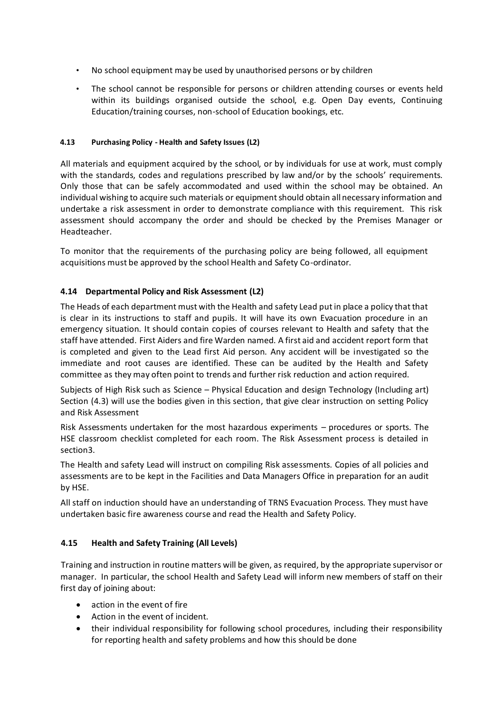- No school equipment may be used by unauthorised persons or by children
- The school cannot be responsible for persons or children attending courses or events held within its buildings organised outside the school, e.g. Open Day events, Continuing Education/training courses, non-school of Education bookings, etc.

#### **4.13 Purchasing Policy - Health and Safety Issues (L2)**

All materials and equipment acquired by the school, or by individuals for use at work, must comply with the standards, codes and regulations prescribed by law and/or by the schools' requirements. Only those that can be safely accommodated and used within the school may be obtained. An individual wishing to acquire such materials or equipment should obtain all necessary information and undertake a risk assessment in order to demonstrate compliance with this requirement. This risk assessment should accompany the order and should be checked by the Premises Manager or Headteacher.

To monitor that the requirements of the purchasing policy are being followed, all equipment acquisitions must be approved by the school Health and Safety Co-ordinator.

#### **4.14 Departmental Policy and Risk Assessment (L2)**

The Heads of each department must with the Health and safety Lead put in place a policy that that is clear in its instructions to staff and pupils. It will have its own Evacuation procedure in an emergency situation. It should contain copies of courses relevant to Health and safety that the staff have attended. First Aiders and fire Warden named. A first aid and accident report form that is completed and given to the Lead first Aid person. Any accident will be investigated so the immediate and root causes are identified. These can be audited by the Health and Safety committee as they may often point to trends and further risk reduction and action required.

Subjects of High Risk such as Science – Physical Education and design Technology (Including art) Section (4.3) will use the bodies given in this section, that give clear instruction on setting Policy and Risk Assessment

Risk Assessments undertaken for the most hazardous experiments – procedures or sports. The HSE classroom checklist completed for each room. The Risk Assessment process is detailed in section3.

The Health and safety Lead will instruct on compiling Risk assessments. Copies of all policies and assessments are to be kept in the Facilities and Data Managers Office in preparation for an audit by HSE.

All staff on induction should have an understanding of TRNS Evacuation Process. They must have undertaken basic fire awareness course and read the Health and Safety Policy.

#### **4.15 Health and Safety Training (All Levels)**

Training and instruction in routine matters will be given, as required, by the appropriate supervisor or manager. In particular, the school Health and Safety Lead will inform new members of staff on their first day of joining about:

- action in the event of fire
- Action in the event of incident.
- their individual responsibility for following school procedures, including their responsibility for reporting health and safety problems and how this should be done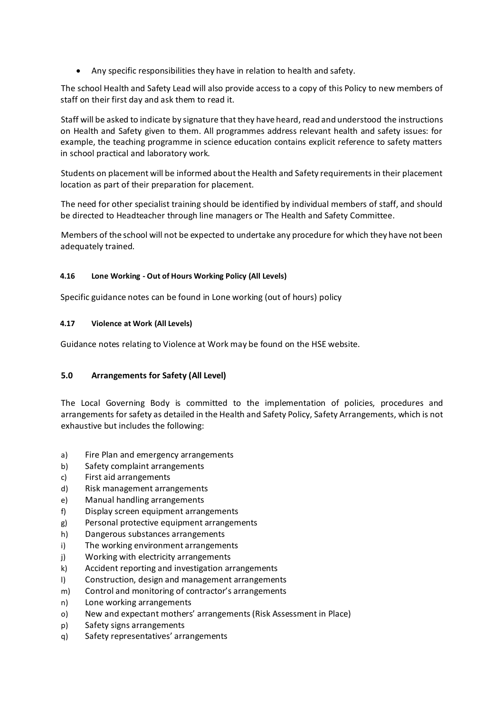• Any specific responsibilities they have in relation to health and safety.

The school Health and Safety Lead will also provide access to a copy of this Policy to new members of staff on their first day and ask them to read it.

Staff will be asked to indicate by signature that they have heard, read and understood the instructions on Health and Safety given to them. All programmes address relevant health and safety issues: for example, the teaching programme in science education contains explicit reference to safety matters in school practical and laboratory work.

Students on placement will be informed about the Health and Safety requirements in their placement location as part of their preparation for placement.

The need for other specialist training should be identified by individual members of staff, and should be directed to Headteacher through line managers or The Health and Safety Committee.

Members of the school will not be expected to undertake any procedure for which they have not been adequately trained.

#### **4.16 Lone Working - Out of Hours Working Policy (All Levels)**

Specific guidance notes can be found in Lone working (out of hours) policy

#### **4.17 Violence at Work (All Levels)**

Guidance notes relating to Violence at Work may be found on the HSE website.

#### **5.0 Arrangements for Safety (All Level)**

The Local Governing Body is committed to the implementation of policies, procedures and arrangements for safety as detailed in the Health and Safety Policy, Safety Arrangements, which is not exhaustive but includes the following:

- a) Fire Plan and emergency arrangements
- b) Safety complaint arrangements
- c) First aid arrangements
- d) Risk management arrangements
- e) Manual handling arrangements
- f) Display screen equipment arrangements
- g) Personal protective equipment arrangements
- h) Dangerous substances arrangements
- i) The working environment arrangements
- j) Working with electricity arrangements
- k) Accident reporting and investigation arrangements
- l) Construction, design and management arrangements
- m) Control and monitoring of contractor's arrangements
- n) Lone working arrangements
- o) New and expectant mothers' arrangements (Risk Assessment in Place)
- p) Safety signs arrangements
- q) Safety representatives' arrangements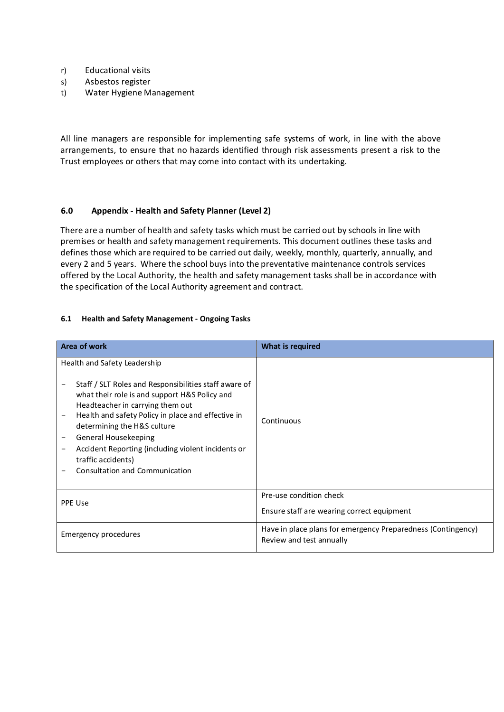- r) Educational visits
- s) Asbestos register
- t) Water Hygiene Management

All line managers are responsible for implementing safe systems of work, in line with the above arrangements, to ensure that no hazards identified through risk assessments present a risk to the Trust employees or others that may come into contact with its undertaking.

#### **6.0 Appendix - Health and Safety Planner (Level 2)**

There are a number of health and safety tasks which must be carried out by schools in line with premises or health and safety management requirements. This document outlines these tasks and defines those which are required to be carried out daily, weekly, monthly, quarterly, annually, and every 2 and 5 years. Where the school buys into the preventative maintenance controls services offered by the Local Authority, the health and safety management tasks shall be in accordance with the specification of the Local Authority agreement and contract.

#### **6.1 Health and Safety Management - Ongoing Tasks**

| Area of work                                                                                                                                                                                                                                                                                                                                                                                                               | What is required                                                                         |
|----------------------------------------------------------------------------------------------------------------------------------------------------------------------------------------------------------------------------------------------------------------------------------------------------------------------------------------------------------------------------------------------------------------------------|------------------------------------------------------------------------------------------|
| Health and Safety Leadership<br>Staff / SLT Roles and Responsibilities staff aware of<br>what their role is and support H&S Policy and<br>Headteacher in carrying them out<br>Health and safety Policy in place and effective in<br>$\qquad \qquad -$<br>determining the H&S culture<br>General Housekeeping<br>Accident Reporting (including violent incidents or<br>traffic accidents)<br>Consultation and Communication | Continuous                                                                               |
| PPE Use                                                                                                                                                                                                                                                                                                                                                                                                                    | Pre-use condition check<br>Ensure staff are wearing correct equipment                    |
| Emergency procedures                                                                                                                                                                                                                                                                                                                                                                                                       | Have in place plans for emergency Preparedness (Contingency)<br>Review and test annually |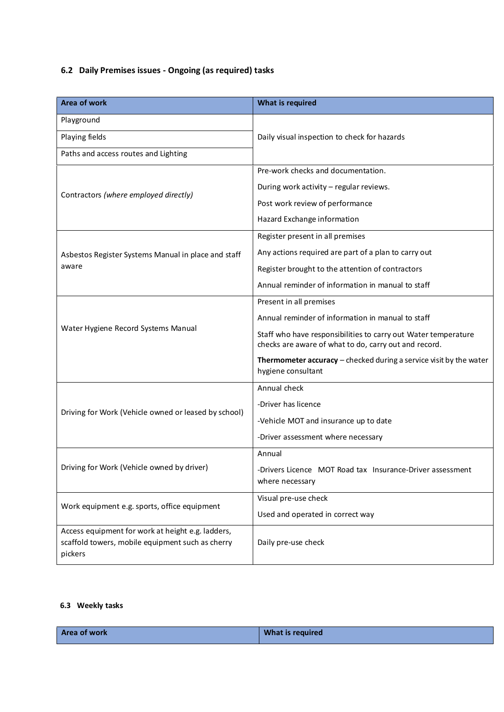## **6.2 Daily Premises issues - Ongoing (as required) tasks**

| <b>Area of work</b>                                                                                              | <b>What is required</b>                                                                                                 |
|------------------------------------------------------------------------------------------------------------------|-------------------------------------------------------------------------------------------------------------------------|
| Playground                                                                                                       |                                                                                                                         |
| Playing fields                                                                                                   | Daily visual inspection to check for hazards                                                                            |
| Paths and access routes and Lighting                                                                             |                                                                                                                         |
|                                                                                                                  | Pre-work checks and documentation.                                                                                      |
| Contractors (where employed directly)                                                                            | During work activity - regular reviews.                                                                                 |
|                                                                                                                  | Post work review of performance                                                                                         |
|                                                                                                                  | Hazard Exchange information                                                                                             |
|                                                                                                                  | Register present in all premises                                                                                        |
| Asbestos Register Systems Manual in place and staff                                                              | Any actions required are part of a plan to carry out                                                                    |
| aware                                                                                                            | Register brought to the attention of contractors                                                                        |
|                                                                                                                  | Annual reminder of information in manual to staff                                                                       |
|                                                                                                                  | Present in all premises                                                                                                 |
|                                                                                                                  | Annual reminder of information in manual to staff                                                                       |
| Water Hygiene Record Systems Manual                                                                              | Staff who have responsibilities to carry out Water temperature<br>checks are aware of what to do, carry out and record. |
|                                                                                                                  | Thermometer accuracy - checked during a service visit by the water<br>hygiene consultant                                |
|                                                                                                                  | Annual check                                                                                                            |
|                                                                                                                  | -Driver has licence                                                                                                     |
| Driving for Work (Vehicle owned or leased by school)                                                             | -Vehicle MOT and insurance up to date                                                                                   |
|                                                                                                                  | -Driver assessment where necessary                                                                                      |
|                                                                                                                  | Annual                                                                                                                  |
| Driving for Work (Vehicle owned by driver)                                                                       | -Drivers Licence MOT Road tax Insurance-Driver assessment<br>where necessary                                            |
| Work equipment e.g. sports, office equipment                                                                     | Visual pre-use check                                                                                                    |
|                                                                                                                  | Used and operated in correct way                                                                                        |
| Access equipment for work at height e.g. ladders,<br>scaffold towers, mobile equipment such as cherry<br>pickers | Daily pre-use check                                                                                                     |

#### **6.3 Weekly tasks**

| <b>Area of work</b> | What is required |
|---------------------|------------------|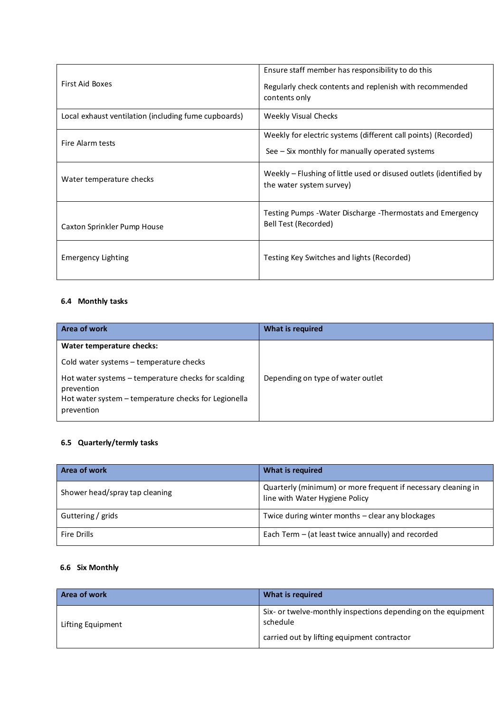| First Aid Boxes                                      | Ensure staff member has responsibility to do this<br>Regularly check contents and replenish with recommended<br>contents only |
|------------------------------------------------------|-------------------------------------------------------------------------------------------------------------------------------|
| Local exhaust ventilation (including fume cupboards) | <b>Weekly Visual Checks</b>                                                                                                   |
| Fire Alarm tests                                     | Weekly for electric systems (different call points) (Recorded)<br>See $-$ Six monthly for manually operated systems           |
| Water temperature checks                             | Weekly – Flushing of little used or disused outlets (identified by<br>the water system survey)                                |
| Caxton Sprinkler Pump House                          | Testing Pumps - Water Discharge - Thermostats and Emergency<br>Bell Test (Recorded)                                           |
| <b>Emergency Lighting</b>                            | Testing Key Switches and lights (Recorded)                                                                                    |

## **6.4 Monthly tasks**

| Area of work                                                                                                                            | What is required                  |
|-----------------------------------------------------------------------------------------------------------------------------------------|-----------------------------------|
| Water temperature checks:                                                                                                               |                                   |
| Cold water systems - temperature checks                                                                                                 |                                   |
| Hot water systems - temperature checks for scalding<br>prevention<br>Hot water system - temperature checks for Legionella<br>prevention | Depending on type of water outlet |

## **6.5 Quarterly/termly tasks**

| Area of work                   | What is required                                                                                |
|--------------------------------|-------------------------------------------------------------------------------------------------|
| Shower head/spray tap cleaning | Quarterly (minimum) or more frequent if necessary cleaning in<br>line with Water Hygiene Policy |
| Guttering / grids              | Twice during winter months - clear any blockages                                                |
| Fire Drills                    | Each Term $-$ (at least twice annually) and recorded                                            |

## **6.6 Six Monthly**

| Area of work      | What is required                                                          |
|-------------------|---------------------------------------------------------------------------|
| Lifting Equipment | Six- or twelve-monthly inspections depending on the equipment<br>schedule |
|                   | carried out by lifting equipment contractor                               |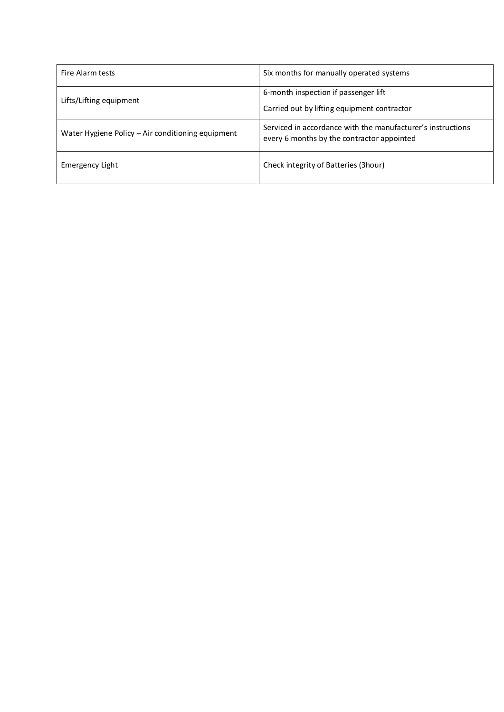| Fire Alarm tests                                  | Six months for manually operated systems                                                                  |
|---------------------------------------------------|-----------------------------------------------------------------------------------------------------------|
| Lifts/Lifting equipment                           | 6-month inspection if passenger lift<br>Carried out by lifting equipment contractor                       |
| Water Hygiene Policy - Air conditioning equipment | Serviced in accordance with the manufacturer's instructions<br>every 6 months by the contractor appointed |
| Emergency Light                                   | Check integrity of Batteries (3hour)                                                                      |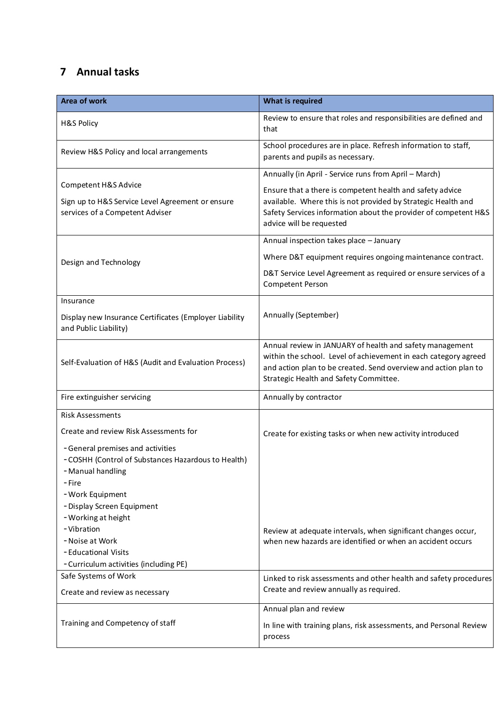# **7 Annual tasks**

| Area of work                                                                                                            | <b>What is required</b>                                                                                                                                                                                                                  |
|-------------------------------------------------------------------------------------------------------------------------|------------------------------------------------------------------------------------------------------------------------------------------------------------------------------------------------------------------------------------------|
| <b>H&amp;S Policy</b>                                                                                                   | Review to ensure that roles and responsibilities are defined and<br>that                                                                                                                                                                 |
| Review H&S Policy and local arrangements                                                                                | School procedures are in place. Refresh information to staff,<br>parents and pupils as necessary.                                                                                                                                        |
|                                                                                                                         | Annually (in April - Service runs from April - March)                                                                                                                                                                                    |
| Competent H&S Advice<br>Sign up to H&S Service Level Agreement or ensure<br>services of a Competent Adviser             | Ensure that a there is competent health and safety advice<br>available. Where this is not provided by Strategic Health and<br>Safety Services information about the provider of competent H&S<br>advice will be requested                |
|                                                                                                                         | Annual inspection takes place - January                                                                                                                                                                                                  |
| Design and Technology                                                                                                   | Where D&T equipment requires ongoing maintenance contract.                                                                                                                                                                               |
|                                                                                                                         | D&T Service Level Agreement as required or ensure services of a<br>Competent Person                                                                                                                                                      |
| Insurance                                                                                                               |                                                                                                                                                                                                                                          |
| Display new Insurance Certificates (Employer Liability<br>and Public Liability)                                         | Annually (September)                                                                                                                                                                                                                     |
| Self-Evaluation of H&S (Audit and Evaluation Process)                                                                   | Annual review in JANUARY of health and safety management<br>within the school. Level of achievement in each category agreed<br>and action plan to be created. Send overview and action plan to<br>Strategic Health and Safety Committee. |
| Fire extinguisher servicing                                                                                             | Annually by contractor                                                                                                                                                                                                                   |
| <b>Risk Assessments</b>                                                                                                 |                                                                                                                                                                                                                                          |
| Create and review Risk Assessments for                                                                                  | Create for existing tasks or when new activity introduced                                                                                                                                                                                |
| - General premises and activities<br>- COSHH (Control of Substances Hazardous to Health)<br>- Manual handling<br>– Fire |                                                                                                                                                                                                                                          |
| - Work Equipment<br>- Display Screen Equipment<br>- Working at height                                                   |                                                                                                                                                                                                                                          |
| -Vibration<br>- Noise at Work<br>- Educational Visits<br>- Curriculum activities (including PE)                         | Review at adequate intervals, when significant changes occur,<br>when new hazards are identified or when an accident occurs                                                                                                              |
| Safe Systems of Work                                                                                                    | Linked to risk assessments and other health and safety procedures                                                                                                                                                                        |
| Create and review as necessary                                                                                          | Create and review annually as required.                                                                                                                                                                                                  |
|                                                                                                                         | Annual plan and review                                                                                                                                                                                                                   |
| Training and Competency of staff                                                                                        | In line with training plans, risk assessments, and Personal Review<br>process                                                                                                                                                            |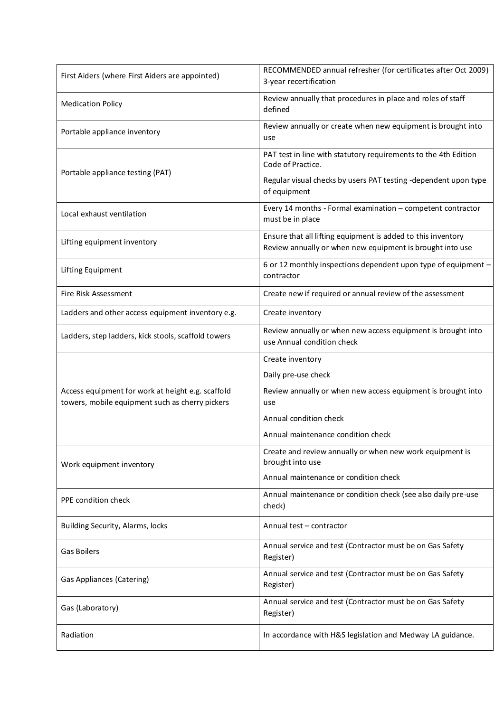| First Aiders (where First Aiders are appointed)                                                      | RECOMMENDED annual refresher (for certificates after Oct 2009)<br>3-year recertification                                  |
|------------------------------------------------------------------------------------------------------|---------------------------------------------------------------------------------------------------------------------------|
| <b>Medication Policy</b>                                                                             | Review annually that procedures in place and roles of staff<br>defined                                                    |
| Portable appliance inventory                                                                         | Review annually or create when new equipment is brought into<br>use                                                       |
| Portable appliance testing (PAT)                                                                     | PAT test in line with statutory requirements to the 4th Edition<br>Code of Practice.                                      |
|                                                                                                      | Regular visual checks by users PAT testing -dependent upon type<br>of equipment                                           |
| Local exhaust ventilation                                                                            | Every 14 months - Formal examination - competent contractor<br>must be in place                                           |
| Lifting equipment inventory                                                                          | Ensure that all lifting equipment is added to this inventory<br>Review annually or when new equipment is brought into use |
| Lifting Equipment                                                                                    | 6 or 12 monthly inspections dependent upon type of equipment -<br>contractor                                              |
| Fire Risk Assessment                                                                                 | Create new if required or annual review of the assessment                                                                 |
| Ladders and other access equipment inventory e.g.                                                    | Create inventory                                                                                                          |
| Ladders, step ladders, kick stools, scaffold towers                                                  | Review annually or when new access equipment is brought into<br>use Annual condition check                                |
|                                                                                                      | Create inventory                                                                                                          |
|                                                                                                      | Daily pre-use check                                                                                                       |
| Access equipment for work at height e.g. scaffold<br>towers, mobile equipment such as cherry pickers | Review annually or when new access equipment is brought into<br>use                                                       |
|                                                                                                      | Annual condition check                                                                                                    |
|                                                                                                      | Annual maintenance condition check                                                                                        |
| Work equipment inventory                                                                             | Create and review annually or when new work equipment is<br>brought into use                                              |
|                                                                                                      | Annual maintenance or condition check                                                                                     |
| PPE condition check                                                                                  | Annual maintenance or condition check (see also daily pre-use<br>check)                                                   |
| Building Security, Alarms, locks                                                                     | Annual test - contractor                                                                                                  |
| <b>Gas Boilers</b>                                                                                   | Annual service and test (Contractor must be on Gas Safety<br>Register)                                                    |
| Gas Appliances (Catering)                                                                            | Annual service and test (Contractor must be on Gas Safety<br>Register)                                                    |
| Gas (Laboratory)                                                                                     | Annual service and test (Contractor must be on Gas Safety<br>Register)                                                    |
| Radiation                                                                                            | In accordance with H&S legislation and Medway LA guidance.                                                                |